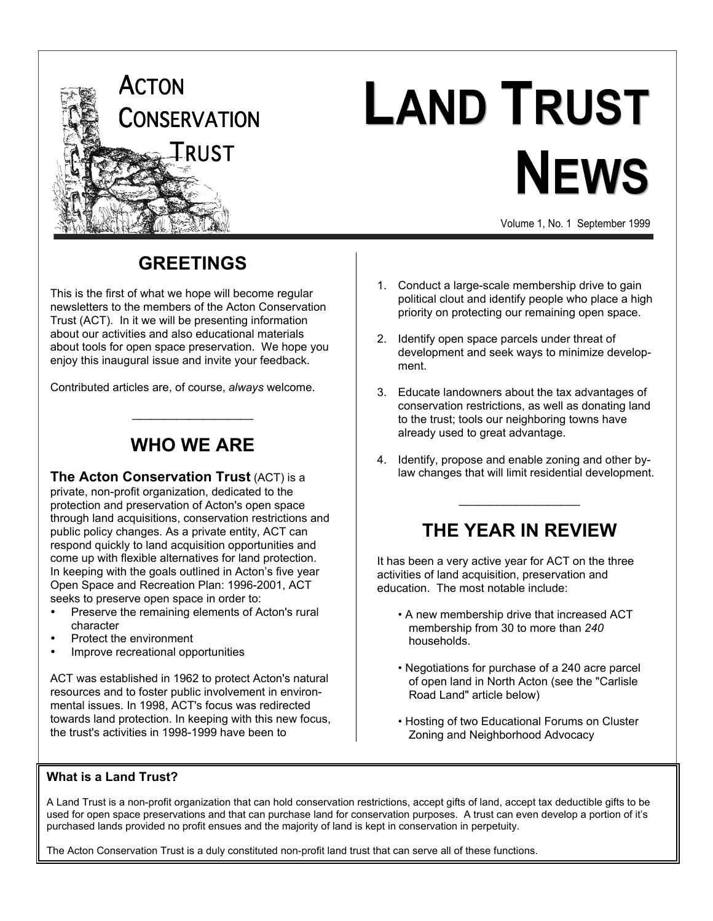

## **LAND TRUST NEWS**

Volume 1, No. 1 September 1999

## **GREETINGS**

This is the first of what we hope will become regular newsletters to the members of the Acton Conservation Trust (ACT). In it we will be presenting information about our activities and also educational materials about tools for open space preservation. We hope you enjoy this inaugural issue and invite your feedback.

Contributed articles are, of course, *always* welcome.

## **WHO WE ARE**

 $\overline{\phantom{a}}$  , where  $\overline{\phantom{a}}$  , where  $\overline{\phantom{a}}$ 

**The Acton Conservation Trust** (ACT) is a private, non-profit organization, dedicated to the protection and preservation of Acton's open space through land acquisitions, conservation restrictions and public policy changes. As a private entity, ACT can respond quickly to land acquisition opportunities and come up with flexible alternatives for land protection. In keeping with the goals outlined in Acton's five year Open Space and Recreation Plan: 1996-2001, ACT seeks to preserve open space in order to:

Preserve the remaining elements of Acton's rural character Protect the environment

Improve recreational opportunities

ACT was established in 1962 to protect Acton's natural resources and to foster public involvement in environmental issues. In 1998, ACT's focus was redirected towards land protection. In keeping with this new focus, the trust's activities in 1998-1999 have been to

- 1. Conduct a large-scale membership drive to gain political clout and identify people who place a high priority on protecting our remaining open space.
- 2. Identify open space parcels under threat of development and seek ways to minimize development.
- 3. Educate landowners about the tax advantages of conservation restrictions, as well as donating land to the trust; tools our neighboring towns have already used to great advantage.
- 4. Identify, propose and enable zoning and other bylaw changes that will limit residential development.

## **THE YEAR IN REVIEW**

 $\overline{\phantom{a}}$  , where  $\overline{\phantom{a}}$ 

It has been a very active year for ACT on the three activities of land acquisition, preservation and education. The most notable include:

- A new membership drive that increased ACT membership from 30 to more than *240* households.
- Negotiations for purchase of a 240 acre parcel of open land in North Acton (see the "Carlisle Road Land" article below)
- Hosting of two Educational Forums on Cluster Zoning and Neighborhood Advocacy

#### **What is a Land Trust?**

A Land Trust is a non-profit organization that can hold conservation restrictions, accept gifts of land, accept tax deductible gifts to be used for open space preservations and that can purchase land for conservation purposes. A trust can even develop a portion of it's purchased lands provided no profit ensues and the majority of land is kept in conservation in perpetuity.

The Acton Conservation Trust is a duly constituted non-profit land trust that can serve all of these functions.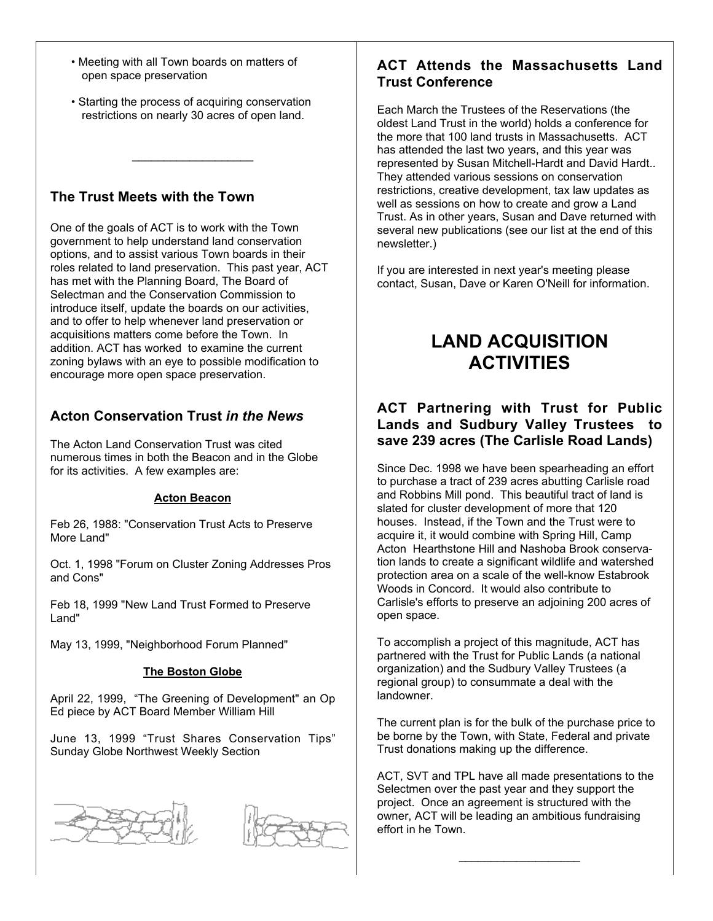- Meeting with all Town boards on matters of open space preservation
- Starting the process of acquiring conservation restrictions on nearly 30 acres of open land.

 $\_$ 

#### **The Trust Meets with the Town**

One of the goals of ACT is to work with the Town government to help understand land conservation options, and to assist various Town boards in their roles related to land preservation. This past year, ACT has met with the Planning Board, The Board of Selectman and the Conservation Commission to introduce itself, update the boards on our activities, and to offer to help whenever land preservation or acquisitions matters come before the Town. In addition. ACT has worked to examine the current zoning bylaws with an eye to possible modification to encourage more open space preservation.

#### **Acton Conservation Trust** *in the News*

The Acton Land Conservation Trust was cited numerous times in both the Beacon and in the Globe for its activities. A few examples are:

#### **Acton Beacon**

Feb 26, 1988: "Conservation Trust Acts to Preserve More Land"

Oct. 1, 1998 "Forum on Cluster Zoning Addresses Pros and Cons"

Feb 18, 1999 "New Land Trust Formed to Preserve Land"

May 13, 1999, "Neighborhood Forum Planned"

#### **The Boston Globe**

April 22, 1999, "The Greening of Development" an Op Ed piece by ACT Board Member William Hill

June 13, 1999 "Trust Shares Conservation Tips" Sunday Globe Northwest Weekly Section





#### **ACT Attends the Massachusetts Land Trust Conference**

Each March the Trustees of the Reservations (the oldest Land Trust in the world) holds a conference for the more that 100 land trusts in Massachusetts. ACT has attended the last two years, and this year was represented by Susan Mitchell-Hardt and David Hardt.. They attended various sessions on conservation restrictions, creative development, tax law updates as well as sessions on how to create and grow a Land Trust. As in other years, Susan and Dave returned with several new publications (see our list at the end of this newsletter.)

If you are interested in next year's meeting please contact, Susan, Dave or Karen O'Neill for information.

## **LAND ACQUISITION ACTIVITIES**

#### **ACT Partnering with Trust for Public Lands and Sudbury Valley Trustees to save 239 acres (The Carlisle Road Lands)**

Since Dec. 1998 we have been spearheading an effort to purchase a tract of 239 acres abutting Carlisle road and Robbins Mill pond. This beautiful tract of land is slated for cluster development of more that 120 houses. Instead, if the Town and the Trust were to acquire it, it would combine with Spring Hill, Camp Acton Hearthstone Hill and Nashoba Brook conservation lands to create a significant wildlife and watershed protection area on a scale of the well-know Estabrook Woods in Concord. It would also contribute to Carlisle's efforts to preserve an adjoining 200 acres of open space.

To accomplish a project of this magnitude, ACT has partnered with the Trust for Public Lands (a national organization) and the Sudbury Valley Trustees (a regional group) to consummate a deal with the landowner.

The current plan is for the bulk of the purchase price to be borne by the Town, with State, Federal and private Trust donations making up the difference.

ACT, SVT and TPL have all made presentations to the Selectmen over the past year and they support the project. Once an agreement is structured with the owner, ACT will be leading an ambitious fundraising effort in he Town.

 $\_$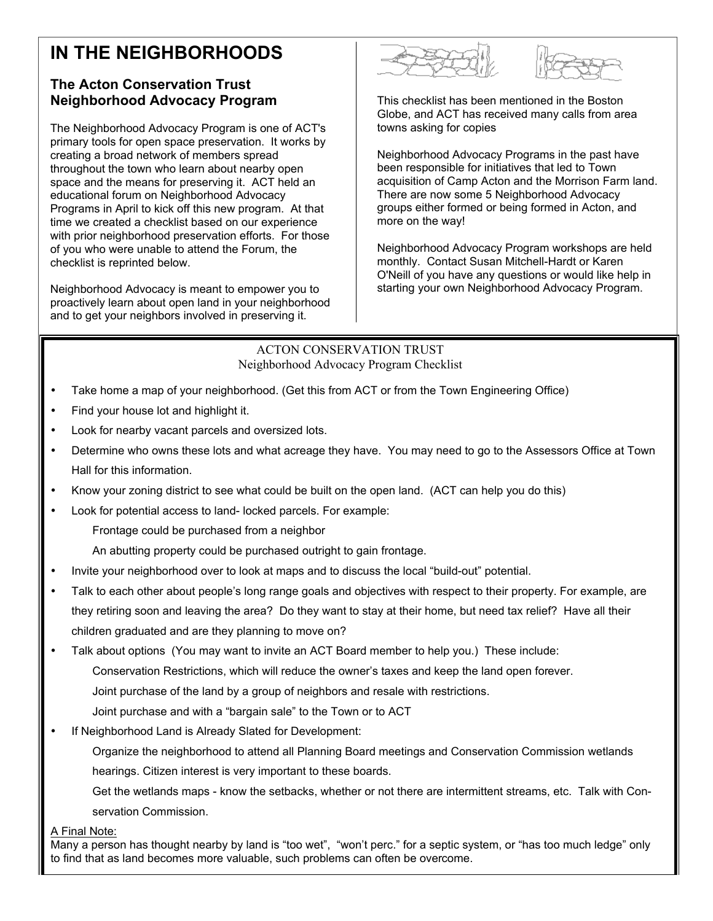## **IN THE NEIGHBORHOODS**

#### **The Acton Conservation Trust Neighborhood Advocacy Program**

The Neighborhood Advocacy Program is one of ACT's primary tools for open space preservation. It works by creating a broad network of members spread throughout the town who learn about nearby open space and the means for preserving it. ACT held an educational forum on Neighborhood Advocacy Programs in April to kick off this new program. At that time we created a checklist based on our experience with prior neighborhood preservation efforts. For those of you who were unable to attend the Forum, the checklist is reprinted below.

Neighborhood Advocacy is meant to empower you to proactively learn about open land in your neighborhood and to get your neighbors involved in preserving it.





This checklist has been mentioned in the Boston Globe, and ACT has received many calls from area towns asking for copies

Neighborhood Advocacy Programs in the past have been responsible for initiatives that led to Town acquisition of Camp Acton and the Morrison Farm land. There are now some 5 Neighborhood Advocacy groups either formed or being formed in Acton, and more on the way!

Neighborhood Advocacy Program workshops are held monthly. Contact Susan Mitchell-Hardt or Karen O'Neill of you have any questions or would like help in starting your own Neighborhood Advocacy Program.

ACTON CONSERVATION TRUST Neighborhood Advocacy Program Checklist

Take home a map of your neighborhood. (Get this from ACT or from the Town Engineering Office)

Find your house lot and highlight it.

Look for nearby vacant parcels and oversized lots.

Determine who owns these lots and what acreage they have. You may need to go to the Assessors Office at Town Hall for this information.

Know your zoning district to see what could be built on the open land. (ACT can help you do this)

Look for potential access to land- locked parcels. For example:

Frontage could be purchased from a neighbor

An abutting property could be purchased outright to gain frontage.

Invite your neighborhood over to look at maps and to discuss the local "build-out" potential.

Talk to each other about people's long range goals and objectives with respect to their property. For example, are

they retiring soon and leaving the area? Do they want to stay at their home, but need tax relief? Have all their

children graduated and are they planning to move on?

Talk about options (You may want to invite an ACT Board member to help you.) These include:

Conservation Restrictions, which will reduce the owner's taxes and keep the land open forever.

Joint purchase of the land by a group of neighbors and resale with restrictions.

Joint purchase and with a "bargain sale" to the Town or to ACT

If Neighborhood Land is Already Slated for Development:

Organize the neighborhood to attend all Planning Board meetings and Conservation Commission wetlands hearings. Citizen interest is very important to these boards.

Get the wetlands maps - know the setbacks, whether or not there are intermittent streams, etc. Talk with Conservation Commission.

A Final Note:

Many a person has thought nearby by land is "too wet", "won't perc." for a septic system, or "has too much ledge" only to find that as land becomes more valuable, such problems can often be overcome.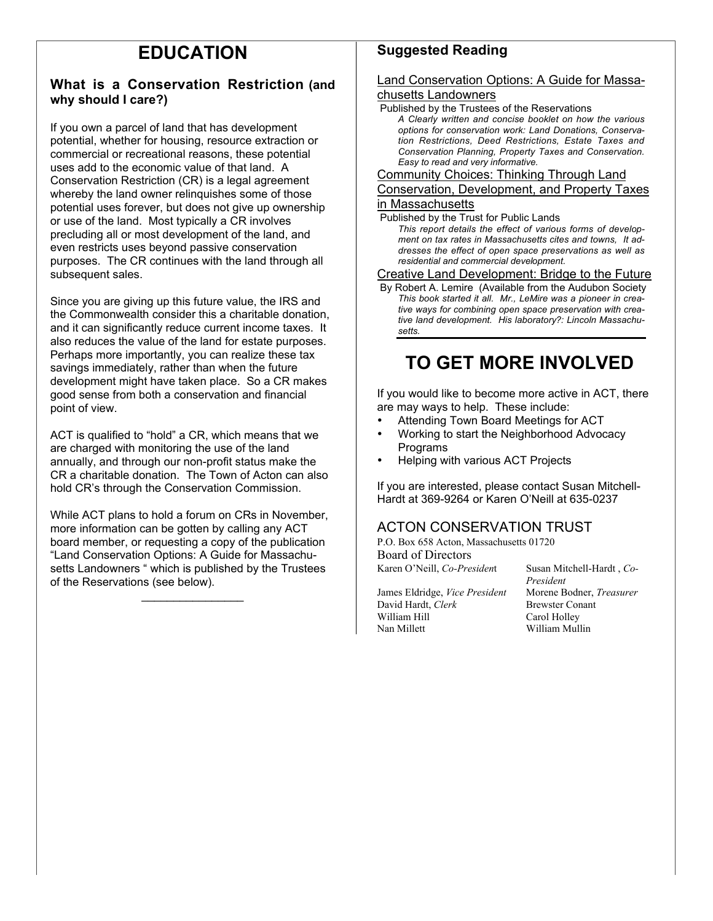## **EDUCATION**

#### **What is a Conservation Restriction (and why should I care?)**

If you own a parcel of land that has development potential, whether for housing, resource extraction or commercial or recreational reasons, these potential uses add to the economic value of that land. A Conservation Restriction (CR) is a legal agreement whereby the land owner relinquishes some of those potential uses forever, but does not give up ownership or use of the land. Most typically a CR involves precluding all or most development of the land, and even restricts uses beyond passive conservation purposes. The CR continues with the land through all subsequent sales.

Since you are giving up this future value, the IRS and the Commonwealth consider this a charitable donation, and it can significantly reduce current income taxes. It also reduces the value of the land for estate purposes. Perhaps more importantly, you can realize these tax savings immediately, rather than when the future development might have taken place. So a CR makes good sense from both a conservation and financial point of view.

ACT is qualified to "hold" a CR, which means that we are charged with monitoring the use of the land annually, and through our non-profit status make the CR a charitable donation. The Town of Acton can also hold CR's through the Conservation Commission.

While ACT plans to hold a forum on CRs in November, more information can be gotten by calling any ACT board member, or requesting a copy of the publication "Land Conservation Options: A Guide for Massachusetts Landowners " which is published by the Trustees of the Reservations (see below).

 $\overline{\phantom{a}}$  , where  $\overline{\phantom{a}}$ 

#### **Suggested Reading**

### Land Conservation Options: A Guide for Massa-

#### chusetts Landowners

 Published by the Trustees of the Reservations *A Clearly written and concise booklet on how the various options for conservation work: Land Donations, Conservation Restrictions, Deed Restrictions, Estate Taxes and Conservation Planning, Property Taxes and Conservation. Easy to read and very informative.*

Community Choices: Thinking Through Land

#### Conservation, Development, and Property Taxes in Massachusetts

Published by the Trust for Public Lands

*This report details the effect of various forms of development on tax rates in Massachusetts cites and towns, It addresses the effect of open space preservations as well as residential and commercial development.*

#### Creative Land Development: Bridge to the Future

 By Robert A. Lemire (Available from the Audubon Society *This book started it all. Mr., LeMire was a pioneer in creative ways for combining open space preservation with creative land development. His laboratory?: Lincoln Massachusetts.*

## **TO GET MORE INVOLVED**

If you would like to become more active in ACT, there are may ways to help. These include:

Attending Town Board Meetings for ACT Working to start the Neighborhood Advocacy Programs

Helping with various ACT Projects

If you are interested, please contact Susan Mitchell-Hardt at 369-9264 or Karen O'Neill at 635-0237

#### ACTON CONSERVATION TRUST

P.O. Box 658 Acton, Massachusetts 01720 Board of Directors

James Eldridge, *Vice President* Morene Bodner, *Treasurer* David Hardt, *Clerk* Brewster Conant William Hill Carol Holley Nan Millett William Mullin

Karen O'Neill, *Co-President* Susan Mitchell-Hardt, *Co-President*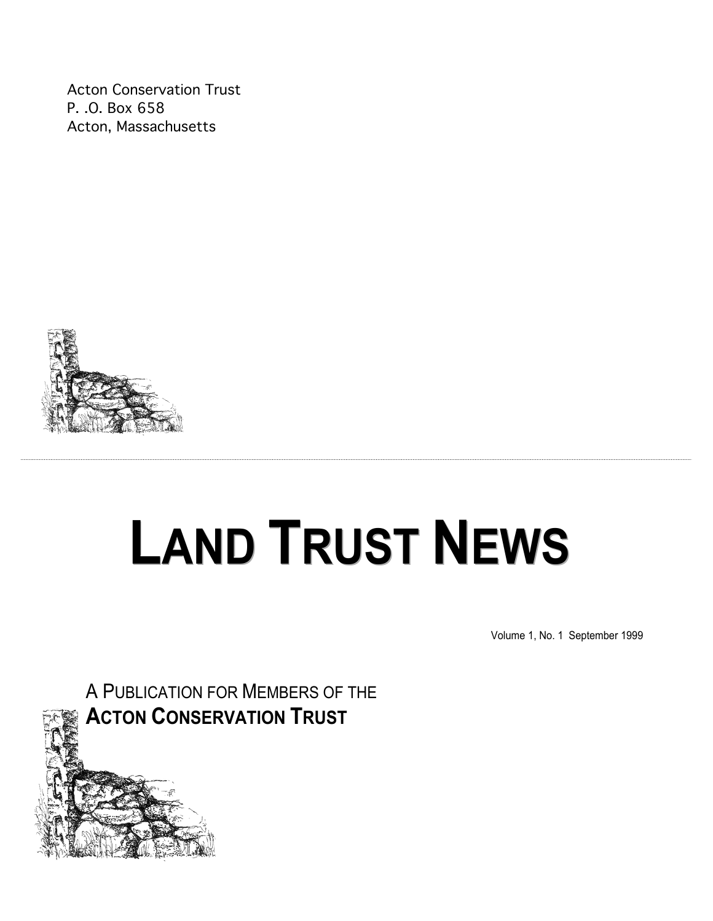Acton Conservation Trust P. .O. Box 658 Acton, Massachusetts



# **LAND TRUST NEWS**

Volume 1, No. 1 September 1999